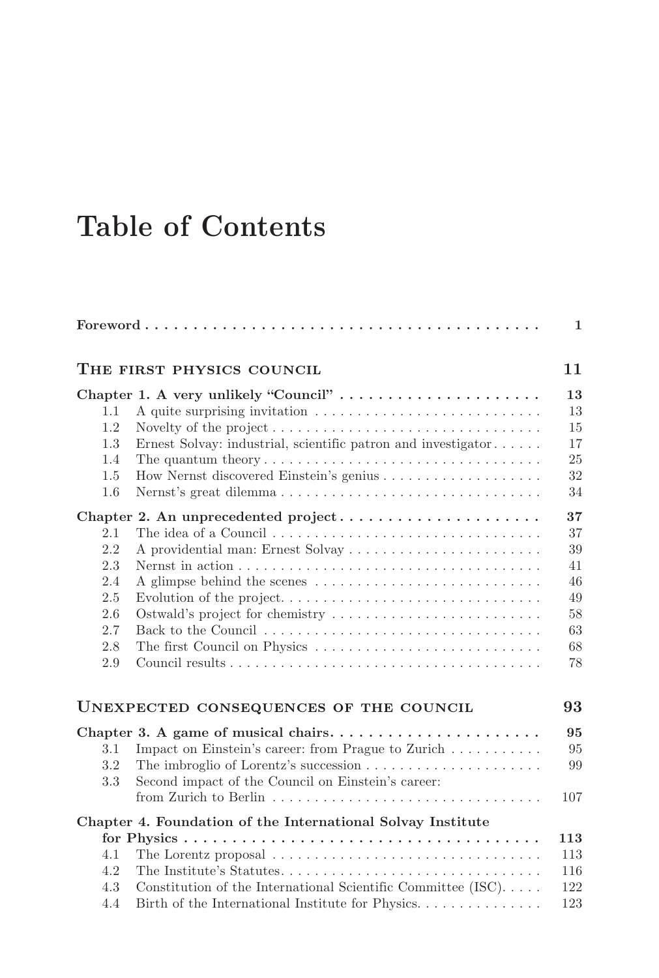## **Table of Contents**

|     |                                                                                            | $\mathbf{1}$ |
|-----|--------------------------------------------------------------------------------------------|--------------|
|     | THE FIRST PHYSICS COUNCIL                                                                  | 11           |
|     | Chapter 1. A very unlikely "Council"                                                       | 13           |
| 1.1 |                                                                                            | 13           |
| 1.2 | Novelty of the project $\dots \dots \dots \dots \dots \dots \dots \dots \dots \dots \dots$ | 15           |
| 1.3 | Ernest Solvay: industrial, scientific patron and investigator                              | 17           |
| 1.4 | The quantum theory $\dots \dots \dots \dots \dots \dots \dots \dots \dots \dots \dots$     | 25           |
| 1.5 |                                                                                            | 32           |
| 1.6 |                                                                                            | 34           |
|     | Chapter 2. An unprecedented project                                                        | 37           |
| 2.1 |                                                                                            | 37           |
| 2.2 | A providential man: Ernest Solvay                                                          | 39           |
| 2.3 |                                                                                            | 41           |
| 2.4 | A glimpse behind the scenes                                                                | 46           |
| 2.5 | Evolution of the project                                                                   | 49           |
| 2.6 | Ostwald's project for chemistry                                                            | 58           |
| 2.7 |                                                                                            | 63           |
| 2.8 | The first Council on Physics                                                               | 68           |
| 2.9 |                                                                                            | 78           |
|     | UNEXPECTED CONSEQUENCES OF THE COUNCIL                                                     | 93           |
|     |                                                                                            | 95           |
| 3.1 | Impact on Einstein's career: from Prague to Zurich                                         | 95           |
| 3.2 |                                                                                            | 99           |
| 3.3 | Second impact of the Council on Einstein's career:                                         |              |
|     |                                                                                            | 107          |
|     | Chapter 4. Foundation of the International Solvay Institute                                |              |
|     |                                                                                            | 113          |
| 4.1 |                                                                                            | 113          |
| 4.2 | The Institute's Statutes                                                                   | 116          |
| 4.3 | Constitution of the International Scientific Committee (ISC)                               | 122          |
| 4.4 | Birth of the International Institute for Physics                                           | 123          |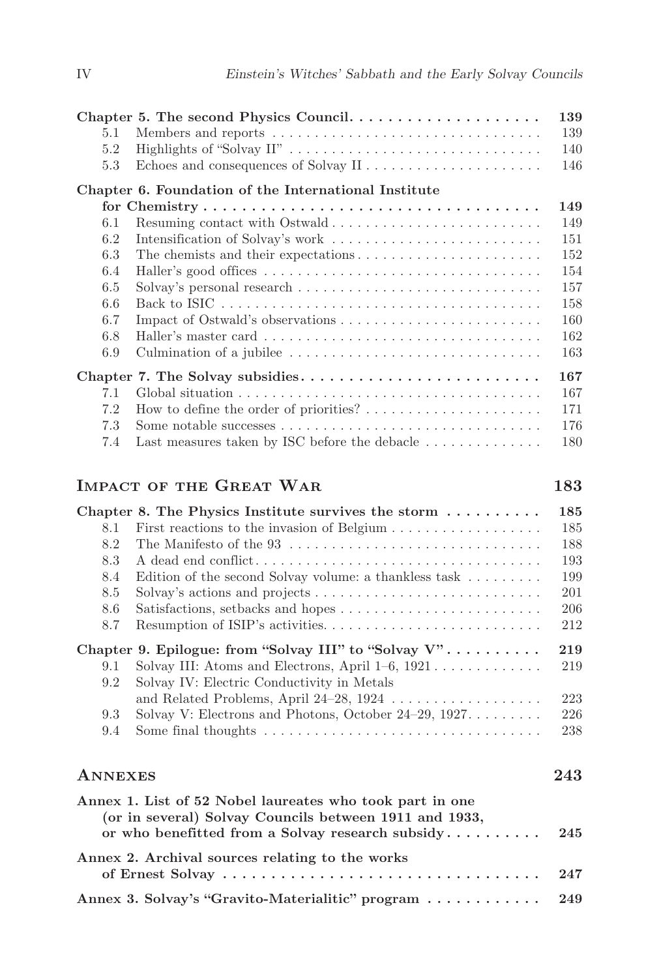|     | Chapter 5. The second Physics Council                                                   | 139 |
|-----|-----------------------------------------------------------------------------------------|-----|
| 5.1 | Members and reports $\dots \dots \dots \dots \dots \dots \dots \dots \dots \dots \dots$ | 139 |
| 5.2 |                                                                                         | 140 |
| 5.3 | Echoes and consequences of Solvay II                                                    | 146 |
|     | Chapter 6. Foundation of the International Institute                                    |     |
|     |                                                                                         | 149 |
| 6.1 | Resuming contact with Ostwald                                                           | 149 |
| 6.2 | Intensification of Solvay's work                                                        | 151 |
| 6.3 |                                                                                         | 152 |
| 6.4 |                                                                                         | 154 |
| 6.5 |                                                                                         | 157 |
| 6.6 |                                                                                         | 158 |
| 6.7 |                                                                                         | 160 |
| 6.8 |                                                                                         | 162 |
| 6.9 | Culmination of a jubilee                                                                | 163 |
|     |                                                                                         | 167 |
| 7.1 |                                                                                         | 167 |
| 7.2 | How to define the order of priorities? $\dots \dots \dots \dots \dots \dots$            | 171 |
| 7.3 |                                                                                         | 176 |
| 7.4 | Last measures taken by ISC before the debacle $\dots \dots \dots \dots$                 | 180 |

## **IMPACT OF THE GREAT WAR 183**

|         | Chapter 8. The Physics Institute survives the storm $\dots \dots$                                                  | 185 |
|---------|--------------------------------------------------------------------------------------------------------------------|-----|
| 8.1     | First reactions to the invasion of Belgium                                                                         | 185 |
| 8.2     |                                                                                                                    | 188 |
| 8.3     |                                                                                                                    | 193 |
| 8.4     | Edition of the second Solvay volume: a thankless task $\dots \dots$                                                | 199 |
| 8.5     |                                                                                                                    | 201 |
| 8.6     |                                                                                                                    | 206 |
| 8.7     |                                                                                                                    | 212 |
|         | Chapter 9. Epilogue: from "Solvay III" to "Solvay V"                                                               | 219 |
| 9.1     | Solvay III: Atoms and Electrons, April $1-6$ , $1921$                                                              | 219 |
| 9.2     | Solvay IV: Electric Conductivity in Metals                                                                         |     |
|         | and Related Problems, April 24-28, 1924                                                                            | 223 |
| 9.3     | Solvay V: Electrons and Photons, October 24–29, 1927                                                               | 226 |
| 9.4     |                                                                                                                    | 238 |
| ANNEXES |                                                                                                                    | 243 |
|         | Annex 1. List of 52 Nobel laureates who took part in one<br>(or in several) Solvay Councils between 1911 and 1933, |     |
|         | or who benefitted from a Solvay research subsidy                                                                   | 245 |
|         | Annex 2. Archival sources relating to the works                                                                    |     |
|         |                                                                                                                    |     |

**Annex 3. Solvay's "Gravito-Materialitic" program . . . . . . . . . . . . 249**